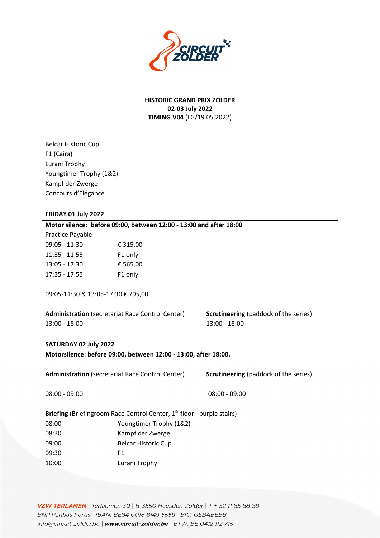

## **HISTORIC GRAND PRIX ZOLDER 02-03 July 2022 TIMING V04** (LG/19.05.2022)

Belcar Historic Cup F1 (Caira) Lurani Trophy Youngtimer Trophy (1&2) Kampf der Zwerge Concours d'Elégance

#### **FRIDAY 01 July 2022**

#### **Motor silence: before 09:00, between 12:00 - 13:00 and after 18:00**

Practice Payable 09:05 - 11:30 € 315,00 11:35 - 11:55 F1 only 13:05 - 17:30 € 565,00 17:35 - 17:55 F1 only

09:05-11:30 & 13:05-17:30 € 795,00

**Administration** (secretariat Race Control Center) **Scrutineering** (paddock of the series) 13:00 - 18:00 13:00 13:00 13:00 13:00 13:00 13:00 13:00 13:00 13:00 13:00 13:00 13:00 13:00 13:00 13:00 13:00 13:00 13:00 13:00 13:00 13:00 13:00 13:00 13:00 13:00 13:00 13:00 13:00 13:00 13:00 13:00 13:00 13:00 13:00 13:0

#### **SATURDAY 02 July 2022**

**Motorsilence: before 09:00, between 12:00 - 13:00, after 18:00.**

Administration (secretariat Race Control Center) **Scrutineering** (paddock of the series)

08:00 - 09:00 08:00 - 09:00 08:00 08:00 08:00 08:00 08:00 08:00 08:00 08:00 08:00 08:00 08:00 08:00 08:00 08:00

**Briefing (Briefingroom Race Control Center, 1<sup>St</sup> floor - purple stairs)** 08:00 Youngtimer Trophy (1&2)

- 08:30 Kampf der Zwerge
- 09:00 Belcar Historic Cup

09:30 F1

10:00 Lurani Trophy

**VZW TERLAMEN** | Terlaemen 30 | B-3550 Heusden-Zolder | T + 32 11 85 88 88<br>BNP Paribas Fortis | IBAN: BE84 0018 8149 5559 | BIC: GEBABEBB info@circuit-zolder.be | www.circuit-zolder.be | BTW: BE 0412 112 715